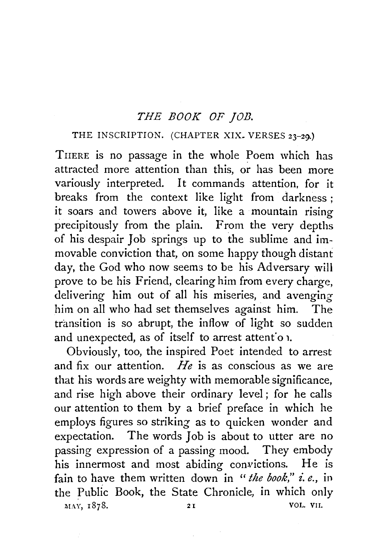## *THE BOOK OF ]OJJ.*

## THE INSCRIPTION. (CHAPTER XIX. VERSES 23-29.)

TnERE is no passage in the whole Poem which has attracted more attention than this, or has been more variously interpreted. It commands attention, for it breaks from the context like light from darkness ; it soars and towers above it, like a mountain rising precipitously from the plain. From the very depths of his despair Job springs up to the sublime and immovable conviction that, on some happy though distant day, the God who now seems to be his Adversary will prove to be his Friend, clearing him from every charge, delivering him out of all his miseries, and avenging him on all who had set themselves against him. The transition is so abrupt, the inflow of light so sudden and unexpected, as of itself to arrest attent'o 1.

Obviously, too, the inspired Poet intended to arrest and fix our attention. *He* is as conscious as we are that his words are weighty with memorable significance, and rise high above their ordinary level ; for he calls our attention to them by a brief preface in which he employs figures so striking as to quicken wonder and expectation. The words Job is about to utter are no passing expression of a passing mood. They embody his innermost and most abiding convictions. He is fain to have them written down in "the book," i.e., in the Public Book, the State Chronicle, in which only MAY, 1878. 21 VOL. VII.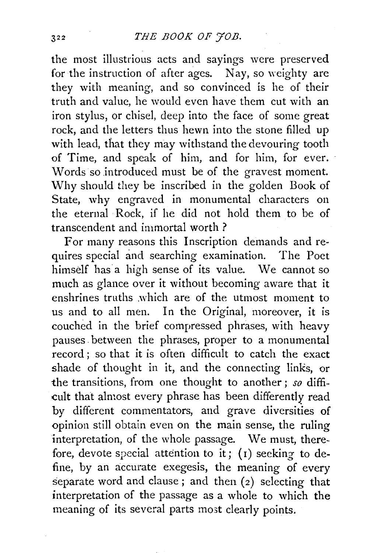the most illustrious acts and sayings were preserved for the instruction of after ages. Nay, so weighty are they with meaning, and so convinced is he of their truth and value, he would even have them cut with an iron stylus, or chisel, deep into the face of some great rock, and the letters thus hewn into the stone filled up with lead, that they may withstand the devouring tooth of Time, and speak of him, and for him, for ever. Words so introduced must be of the gravest moment. Why should they be inscribed in the golden Book of State, why engraved in monumental characters on the eternal Rock, if he did not hold them to be of transcendent and immortal worth?

For many reasons this Inscription demands and requires special and searching examination. The Poet himself has a high sense of its value. We cannot so much as glance over it without becoming aware that it enshrines truths .which are of the utmost moment to us and to all men. In the Original, moreover, it is couched in the brief compressed phrases, with heavy pauses. between the phrases, proper to a monumental record ; so that it is often difficult to catch the exact shade of thought in it, and the connecting links, or the transitions, from one thought to another ; *so* difficult that almost every phrase has been differently read by different commentators, and grave diversities of opinion still obtain even on the main sense, the ruling interpretation, of the whole passage. We must, therefore, devote special attention to it;  $(1)$  seeking to define, by an accurate exegesis, the meaning of every separate word and clause; and then (2) selecting that interpretation of the passage as a whole to which the meaning of its several parts most clearly points.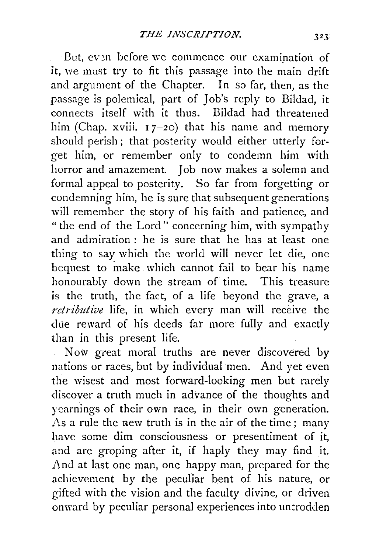But, ev en before we commence our examination of it, we must try to fit this passage into the main drift and argument of the Chapter. In so far, then, as the passage is polemical, part of Job's reply to Bildad, it connects itself with it thus. Bildad had threatened him (Chap. xviii.  $17-20$ ) that his name and memory should perish; that posterity would either utterly forget him, or remember only to condemn him with horror and amazement. Job now makes a solemn and formal appeal to posterity. So far from forgetting or condemning him, he is sure that subsequent generations will remember the story of his faith and patience, and "the end of the Lord'' concerning him, with sympathy and admiration : he is sure that he has at least one thing to say which the world will never let die, one bequest to make which cannot fail to bear his name honourably down the stream of time. This treasure is the truth, the fact, of a life beyond the grave, a *retributive* life, in which every man will receive the due reward of his deeds far more fully and exactly than in this present life.

Now great moral truths are never discovered by nations or races, but by individual men. And yet even the wisest and most forward-locking men but rarely discover a truth much in advance of the thoughts and ycarnings of their own race, in their own generation. As a rule the new truth is in the air of the time; many have some dim consciousness or presentiment of it, and are groping after it, if haply they may find it. And at last one man, one happy man, prepared for the achievement by the peculiar bent of his nature, or gifted with the vision and the faculty divine, or driven onward by peculiar personal experiences into untrodden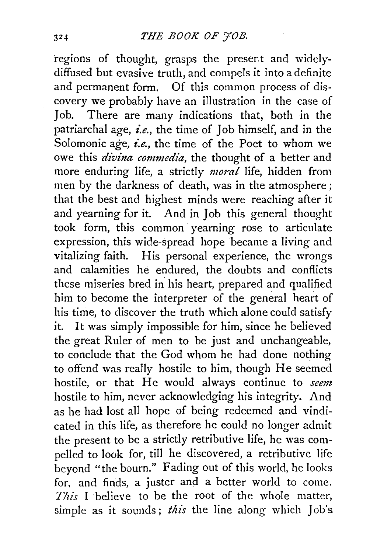regions of thought, grasps the preser.t and widelydiffused but evasive truth, and compels it into a definite and permanent form. Of this common process of discovery we probably have an illustration in the case of Job. There are many indications that, both in the patriarchal age, *i.e.*, the time of Job himself, and in the Solomonic age, *i.e.*, the time of the Poet to whom we owe this *divina commedia,* the thought of a better and more enduring life, a strictly *moral* life, hidden from men by the darkness of death, was in the atmosphere; that the best and highest minds were reaching after it and yearning for it. And in Job this general thought took form, this common yearning rose to articulate expression, this wide-spread hope became a living and vitalizing faith. His personal experience, the wrongs and calamities he endured, the doubts and conflicts these miseries bred in his heart, prepared and qualified him to become the interpreter of the general heart of his time, to discover the truth which alone could satisfy it. It was simply impossible for him, since he believed the great Ruler of men to be just and unchangeable, to conclude that the God whom he had done nothing to offend was really hostile to him, though He seemed hostile, or that He would always continue to *seem*  hostile to him, never acknowledging his integrity. And as he had lost all hope of being redeemed and vindicated in this life, as therefore he could no longer admit the present to be a strictly retributive life, he was compelled to look for, till he discovered, a retributive life beyond "the bourn." Fading out of this world, he looks for, and finds, a juster and a better world to come. *This* I believe to be the root of the whole matter, simple as it sounds; *this* the line along which Job's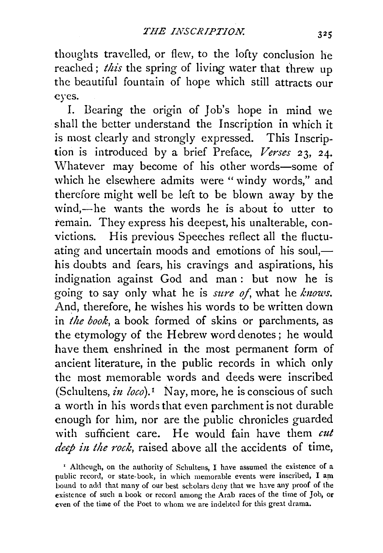thoughts travelled, or flew, to the lofty conclusion he reached ; *this* the spring of living water that threw up the beautiful fountain of hope which still attracts our eyes.

I. Bearing the origin of Job's hope in mind we shall the better understand the Inscription in which it is most clearly and strongly expressed. This Inscription is introduced by a brief Preface, *Verses* 23, 24. Whatever may become of his other words-some of which he elsewhere admits were "windy words," and therefore might well be left to be blown away by the wind,-he wants the words he is about to utter to remain. They express his deepest, his unalterable, convictions. His previous Speeches reflect all the fluctuating and uncertain moods and emotions of his soul, $$ his doubts and fears, his cravings and aspirations, his indignation against God and man : but now he is going to say only what he is *sure of*, what he *knows*. And, therefore, he wishes his words to be written down in *the book,* a book formed of skins or parchments, as the etymology of the Hebrew word denotes; he would have them enshrined in the most permanent form of ancient literature, in the public records in which only the most memorable words and deeds were inscribed (Schultens, in  $loco$ ).<sup>1</sup> Nay, more, he is conscious of such a worth in his words that even parchment is not durable enough for him, nor are the public chronicles guarded with sufficient care. He would fain have them *cut deep in the rock*, raised above all the accidents of time,

' Althcugh, on the authority of Schultens, I have assumed the existence of a public record, or state-book, in which memorable events were inscribed, I am bound to add that many of our best scholars deny that we have any proof of the existence of such a book or record among the Arab races of the time of Job, or even of the time of the Poet to whom we arc indebted for this great drama.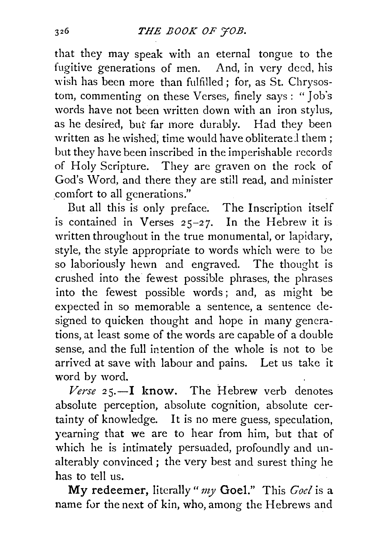that they may speak with an eternal tongue to the fugitive generations of men. And, in very deed, his wish has been more than fulfilled; for, as St. Chrysostom, commenting on these Verses, finely says : "Job's words have not been written down with an iron stylus, as he desired, but far more durably. Had they been written as he wished; time would have obliterated them : but they have been inscribed in the imperishable records of Holy Scripture. They are graven on the rock of God's Word, and there they are still read, and minister comfort to all generations."

But all this is only preface. The Inscription itself is contained in Verses  $25-27$ . In the Hebrew it is written throughout in the true monumental, or lapidary, style, the style appropriate to words which were to be so laboriously hewn and engraved. The thought is crushed into the fewest possible phrases, the phrases into the fewest possible words ; and, as might be expected in so memorable a sentence, a sentence designed to quicken thought and hope in many generations, at least some of the words are capable of a double sense, and the full intention of the whole is not to be arrived at save with labour and pains. Let us take it word by word.

*Verse* 25.-I **know.** The Hebrew verb denotes absolute perception, absolute cognition, absolute certainty of knowledge. It is no mere guess, speculation, yearning that we are to hear from him, but that of which he is intimately persuaded, profoundly and unalterably convinced *;* the very best and surest thing he has to tell us.

**My redeemer,** literally" *my* **Goel."** This *Goel* is a name for the next of kin, who, among the Hebrews and

326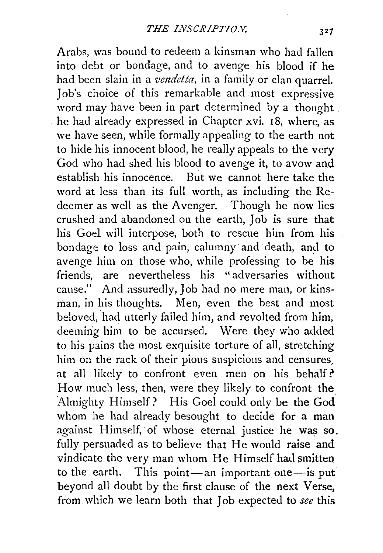Arabs, was bound to redeem a kinsman who had fallen into debt or bondage, and to avenge his blood if he had been slain in a *vendetta*, in a family or clan quarrel. Job's choice of this remarkable and most expressive word may have been in part determined by a thought he had already expressed in Chapter xvi. 18, where, as we have seen, while formally appealing to the earth not to hide his innocent blood, he really appeals to the very God who had shed his blood to avenge it, to avow and establish his innocence. But we cannot here take the word at less than its full worth, as including the Redeemer as well as the Avenger. Though he now lies crushed and abandoned on the earth, Job is sure that his Goel will interpose, both to rescue him from his bondage to loss and pain, calumny and death, and to avenge him on those who, while professing to be his friends, are nevertheless his " adversaries without cause." And assuredly, Job had no mere man, or kinsman, in his thoughts. Men, even the best and most beloved, had utterly failed him, and revolted from him, deeming him to be accursed. Were they who added to his pains the most exquisite torture of all, stretching him on the rack of their pious suspicions and censures. at all likely to confront even men on his behalf? How much less, then, were they likely to confront the Almighty Himself? His Goel could only be the God whom he had already besought to decide for a man against Himself, of whose eternal justice he was so. fully persuaded as to believe that He would raise and vindicate the very man whom He Himself had smitten to the earth. This point—an important one—is put beyond all doubt by the first clause of the next Verse, from which we learn both that Job expected to *see* this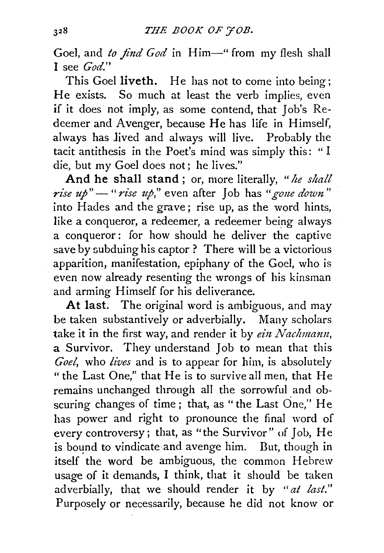Goel, and *to find God* in Him-"from my flesh shall I see *God."* 

This Goel liveth. He has not to come into being; He exists. So much at least the verb implies, even if it does not imply, as some contend, that Job's Redeemer and Avenger, because He has life in Himself, always has Jived and always will live. Probably the tacit antithesis in the Poet's mind was simply this: " I die, but my Goel does not; he lives."

And he shall stand; or, more literally, "*he shall rise up*" - "*rise up*," even after Job has " gone down" into Hades and the grave; rise up, as the word hints, like a conqueror, a redeemer, a redeemer being always a conqueror: for how should he deliver the captive save by subduing his captor ? There will be a victorious apparition, manifestation, epiphany of the Goel, who is even now already resenting the wrongs of his kinsman and arming Himself for his deliverance.

At last. The original word is ambiguous, and may be taken substantively or adverbially. Many scholars take it in the first way, and render it by *ein Nachmann*, a Survivor. They understand Job to mean that this *Goel,* who *lives* and is to appear for him, is absolutely "the Last One," that He is to survive all men, that He remains unchanged through all the sorrowful and obscuring changes of time; that, as "the Last One," He has power and right to pronounce the final word of every controversy; that, as "the Survivor" of Job, He is bound to vindicate and avenge him. But, though in itself the word be ambiguous, the common Hebrew usage of it demands, I think, that it should be taken adverbially, that we should render it by *"at last."*  Purposely or necessarily, because he did not know or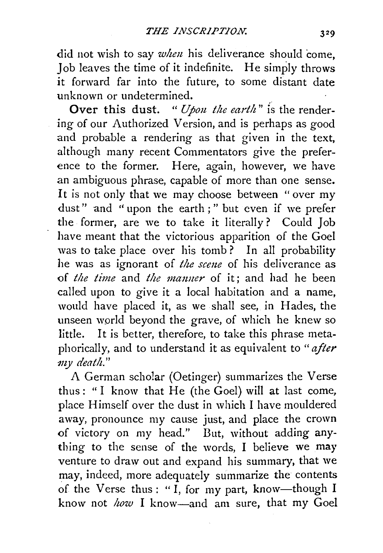did not wish to say *when* his deliverance should come, Job leaves the time of it indefinite. He simply throws it forward far into the future, to some distant date unknown or undetermined.

Over this dust. " *Upon the earth"* is the rendering of our Authorized Version, and is perhaps as good and probable a rendering as that given in the text, although many recent Commentators give the preference to the former. Here, again, however, we have an ambiguous phrase, capable of more than one sense. It is not only that we may choose between " over my dust" and " upon the earth ; " but even if we prefer the former, are we to take it literally? Could Job have meant that the victorious apparition of the Goel was to take place over his tomb? In all probability he was as ignorant of *the scme* of his deliverance as of *the time* and *the manner* of it; and had he been called upon to give it a local habitation and a name, would have placed it, as we shall see, in Hades, the unseen world beyond the grave, of which he knew so little. It is better, therefore, to take this phrase metaphorically, and to understand it as equivalent to *"after my death."* 

A German scholar (Oetinger) summarizes the Verse thus: " I know that He (the Goel) will at last come, place Himself over the dust in which I have mouldered away, pronounce my cause just, and place the crown of victory on my head." But, without adding anything to the sense of the words, I believe we may venture to draw out and expand his summary, that we may, indeed, more adequately summarize the contents of the Verse thus : "I, for my part, know-though I know not *how* I know-and am sure, that my Goel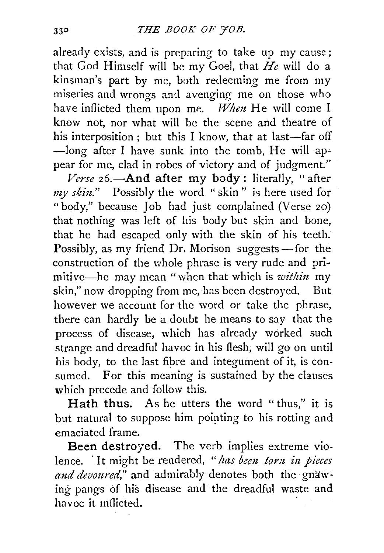already exists, and is preparing to take up my cause; that God Himself will be my Goel, that *He* will do a kinsman's part by me, both redeeming me from my miseries and wrongs and avenging me on those who have inflicted them upon me. *When* He will come I know not, nor what will be the scene and theatre of his interposition; but this I know, that at last-far off  $-$ long after I have sunk into the tomb, He will appear for me, clad in robes of victory and of judgment."

Verse 26.-And after my body: literally, "after *my skin.*" Possibly the word "skin" is here used for "body," because Job had just complained (Verse 20) that nothing was left of his body but skin and bone, that he had escaped only with the skin of his teeth: Possibly, as my friend Dr. Morison suggests  $-$  for the construction of the whole phrase is very rude and primitive-he may mean "when that which is *within* my skin," now dropping from me, has been destroyed. But however we account for the word or take the phrase, there can hardly be a doubt he means to say that the process of disease, which has already worked such strange and dreadful havoc in his flesh; will go on until his body, to the last fibre and integument of it, is consumed. For this meaning is sustained by the clauses which precede and follow this.

Hath thus. As he utters the word "thus," it is but natural to suppose him pointing to his rotting and emaciated frame.

Been destroyed. The verb implies extreme violence. · It might be rendered, *"has bem torn in pieces*  and devoured," and admirably denotes both the gnawing pangs of his disease and the dreadful waste and havoc it inflicted.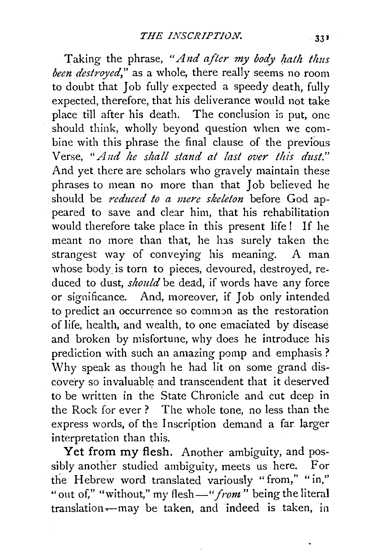Taking the phrase, "*And after my body hath thus been destroyed,"* as a whole, there really seems no room to doubt that Job fully expected a speedy death, fully expected, therefore, that his deliverance would not take place till after his death. The conclusion is put, one should think, wholly beyond question when we combine with this phrase the final clause of the previous Verse, *"And he shall stand at last over this dust."*  And yet there are scholars who gravely maintain these phrases to mean no more than that Job believed he should be *reduced to a mere skeleton* before God appeared to save and clear him, that his rehabilitation would therefore take place in this present life ! If he meant no more than that, he lns surely taken the strangest way of conveying his meaning. A man whose body. is torn to pieces, devoured, destroyed, reduced to dust, *should* be dead, if words have any force or significance. And, moreover, if Job only intended to predict an occurrence so common as the restoration of life, health, and wealth, to one emaciated by disease and broken by misfortune, why does he introduce his prediction with such an amazing pomp and emphasis ? \Vhy speak as though he had lit on some grand discovery so invaluable and transcendent that it deserved to be written in the State Chronicle and cut deep in the Rock for ever ? The whole tone, no less than the express words, of the Inscription demand a far larger interpretation than this.

Yet from my flesh. Another ambiguity, and possibly another studied ambiguity, meets us here. For the Hebrew word translated variously "from," "in," "out of," "without," my flesh—"from" being the literal translation-may be taken, and indeed is taken, in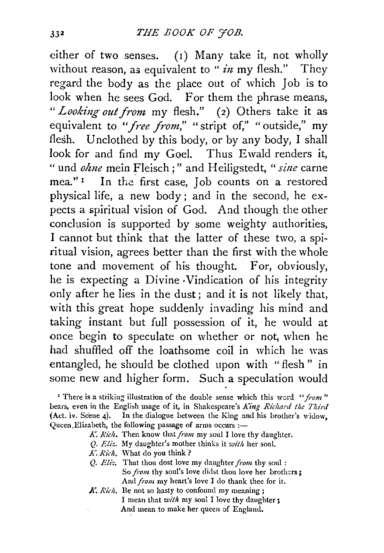either of two senses. (1) Many take it, not wholly without reason, as equivalent to "  $in$  my flesh." They regard the body as the place out of which Job is to look when he sees God. For them the phrase means, *"Looking out from* my flesh." (2) Others take it as equivalent to "free from," "stript of," "outside," my flesh. Unclothed by this body, or by any body, I shall look for and find my Goel. Thus Ewald renders it, " und *ohne* mein Fleisch;" and Heiligstedt, " sine carne mea."<sup>1</sup> In the first case, Job counts on a restored physical life, a new body; and in the second, he expects a spiritual vision of God. And though the other conclusion is supported by some weighty authorities, I cannot but think that the latter of these two, a spiritual vision, agrees better than the first with the whole tone and movement of his thought. For, obviously, he is expecting a Divine ·Vindication of his integrity only after he lies in the dust; and it is not likely that, with this great hope suddenly invading his mind and taking instant but full possession of it, he would at once begin to speculate on whether or not, when he had shuffled off the loathsome coil in which he was entangled, he should be clothed upon with "flesh" in some new and higher form. Such a speculation would

<sup>1</sup> There is a striking illustration of the double sense which this word "from" bears, even in the English usage of it, in Shakespeare's *King Richard the Third*  (Act. iv. Scene 4). In the dialogue between the King and his brother's widow, Queen Elizabeth, the following passage of arms occurs :-

- K. Rich. Then know that *from* my soul I love thy daughter.
- *Q, Eliz.* My daughter's mother thinks it *with* her soul.
- .A: *Rich.* What do you think?
- Q. *Eliz.* That thou dost love my daughter *fiwn* thy soul : So *from* thy soul's love didst thou love her brothers; And from my heart's love I do thank thee for it.
- K. Rich. Be not so hasty to confound my meaning; I mean that *with* my soul I love thy daughter; And mean to make her queen of England.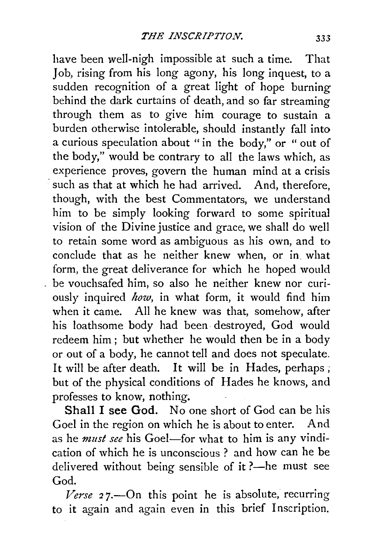have been well-nigh impossible at such a time. That Job, rising from his long agony, his long inquest, to a sudden recognition of a great light of hope burning behind the dark curtains of death, and so far streaming through them as to give him courage to sustain a burden otherwise intolerable, should instantly fall into a curious speculation about "in the body," or " out of the body," would be contrary to all the laws which, as experience proves, govern the human mind at a crisis such as that at which he had arrived. And, therefore, though, with the best Commentators, we understand him to be simply looking forward to some spiritual vision of the Divine justice and grace, we shall do well to retain some word as ambiguous as his own, and to conclude that as he neither knew when, or in what form, the great deliverance for which he hoped would be vouchsafed him, so also he neither knew nor curiously inquired *how,* in what form, it would find him when it came. All he knew was that, somehow, after his loathsome body had been destroyed, God would redeem him; but whether he would then be in a body or out of a body, he cannot tell and does not speculate. It will be after death. It will be in Hades, perhaps; but of the physical conditions of Hades he knows, and professes to know, nothing.

Shall I see God. No one short of God can be his Goel in the region on which he is about to enter. And as he *must see* his Goel-for what to him is any vindication of which he is unconscious ? and how can he be delivered without being sensible of it ?--he must see God.

Verse 27.—On this point he is absolute, recurring to it again and again even in this brief Inscription.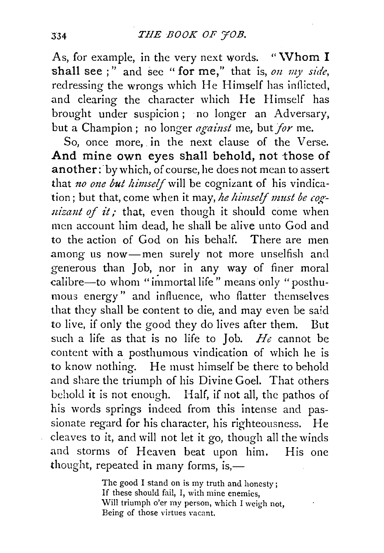As, for example, in the very next words. "Whom  $I$ shall see ; " and sec " for me," that is, *on my side,*  redressing the wrongs which He Himself has inflicted, and clearing the character which He Himself has brought under suspicion; no longer an Adversary, but a Champion; no longer *against* me, but *for* me.

So, once more, in the next clause of the Verse. And mine own eyes shall behold, not those of another: by which, of course, he does not mean to assert that *no one but himself* will be cognizant of his vindication; but that, come when it may, *he himself must be cognizant of it;* that, even though it should come when men account him dead, he shall be alive unto God and to the action of God on his behalf. There are men among us now-men surely not more unselfish and generous than Job, nor in any way of finer moral calibre-to whom "immortal life" means only "posthumous energy" and influence, who flatter themselves that they shall be content to die, and may even be said to live, if only the good they do lives after them. But such a life as that is no life to Job. *He* cannot be content with a posthumous vindication of which he is to know nothing. He must himself be there to behold and share the triumph of his Divine Goel. That others behold it is not enough. Half, if not all, the pathos of his words springs indeed from this intense and passionate regard for his character, his righteousness. He cleaves to it, and will not let it go, though all the winds and storms of Heaven beat upon him. His one thought, repeated in many forms, is, $-$ 

> The good I stand on is my truth and honesty ; If these should fail, I, with mine enemies, Will triumph o'er my person, which I weigh not, Being of those virtues vacant.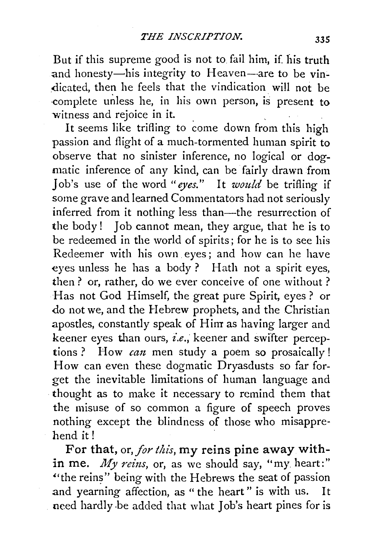But if this supreme good is not to fail him, if. his truth and honesty-his integrity to Heaven-are to be vin-.dicated, then he feels that the vindication will not be complete unless he, in his own person, is present to witness and rejoice in it.

It seems like trifling to come down from this high passion and flight of a much-tormented human spirit to observe that no sinister inference, no logical or dogmatic inference of any kind, can be fairly drawn from Job's use of the word *"eyes."* It *would* be trifling if some grave and learned Commentators had not seriously inferred from it nothing less than—the resurrection of the body! Job cannot mean, they argue, that he is to be redeemed in the world of spirits; for he is to see his Redeemer with his own. eyes ; and how can he have eyes unless he has a body ? Hath not a spirit eyes, then? or, rather, do we ever conceive of one without ? Has not God Himself, the great pure Spirit, eyes? or do not we, and the Hebrew prophets, and the Christian apostles, constantly speak of Him as having larger and keener eyes than ours, *i.e.*, keener and swifter perceptions ? How *can* men study a poem so prosaically! How can even these dogmatic Dryasdusts so far forget the inevitable limitations of human language and · thought as to make it necessary to remind them that the misuse of so common a figure of speech proves nothing except the blindness of those who misapprehend it!

For that, or, *for this,* my reins pine away within me. *My reins*, or, as we should say, "my heart:" "the reins" being with the Hebrews the seat of passion and yearning affection, as " the heart " is with us. It need hardly .be added that what Job's heart pines for is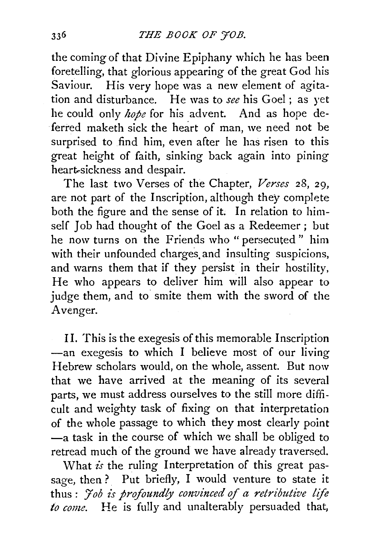the coming of that Divine Epiphany which he has been foretelling, that glorious appearing of the great God his Saviour. His very hope was a new element of agitation and disturbance. He was to *see* his Goel ; as yet he could only *hope* for his advent. And as hope deferred maketh sick the heart of man, we need not be surprised to find him, even after he has risen to this great height of faith, sinking back again into pining heart-sickness and despair.

The last two Verses of the Chapter, *Verses* 28, 29, are not part of the Inscription, although they complete both the figure and the sense of it. In relation to himself Job had thought of the Goel as a Redeemer ; but he now turns on the Friends who " persecuted " him with their unfounded charges and insulting suspicions, and warns them that if they persist in their hostility, He who appears to deliver him will also appear to judge them, and to smite them with the sword of the Avenger.

II. This is the exegesis of this memorable Inscription -an exegesis to which I believe most of our living Hebrew scholars would, on the whole, assent. But now that we have arrived at the meaning of its several parts, we must address ourselves to the still more difficult and weighty task of fixing on that interpretation of the whole passage to which they most clearly point -a task in the course of which we shall be obliged to retread much of the ground we have already traversed.

What *is* the ruling Interpretation of this great passage, then? Put briefly, I would venture to state it thus: *<i>Job is profoundly convinced of a retributive life to come.* He is fully and unalterably persuaded that,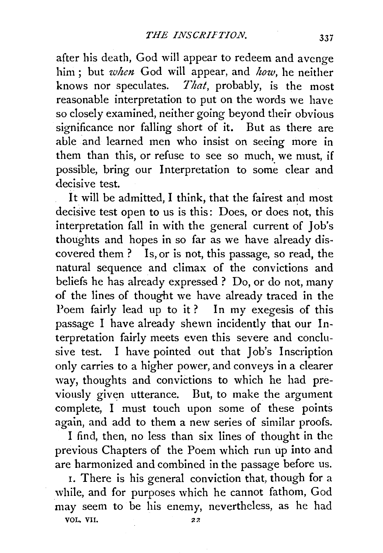after his death, God will appear to redeem and avenge him; but *when* God will appear, and *how,* he neither knows nor speculates. *That,* probably, is the most reasonable interpretation to put on the words we have so closely examined, neither going beyond their obvious significance nor falling short of it. But as there are able and learned men who insist on seeing more in them than this, or refuse to see so much, we must, if possible, bring our Interpretation to some clear and decisive test.

It will be admitted, I think, that the fairest and most decisive test open to us is this: Does, or does not, this interpretation fall in with the general current of Job's thoughts and hopes in so far as we have already discovered them ? Is, or is not, this passage, so read, the natural sequence and climax of the convictions and beliefs he has already expressed ? Do, or do not, many of the lines of thought we have already traced in the Poem fairly lead up to it? In my exegesis of this passage I have already shewn incidently that our Interpretation fairly meets even this severe and conclusive test. I have pointed out that Job's Inscription only carries to a higher power, and conveys in a clearer way, thoughts and convictions to which he had previously given utterance. But, to make the argument complete, I must touch upon some of these points again, and add to them a new series of similar proofs.

I find, then, no less than six lines of thought in the previous Chapters of the Poem which run up into and are harmonized and combined in the passage before us.

I. There is his general conviction that, though for a while, and for purposes which he cannot fathom, God may seem to be his enemy, nevertheless, as he had VOL, VII.  $22$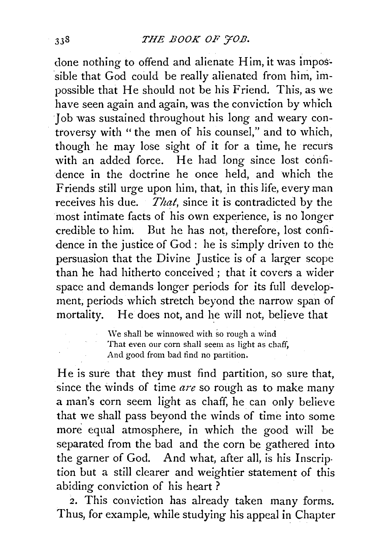done nothing to offend and alienate Him, it was impossible that God could be really alienated from him, impossible that He should not be his Friend. This, as we have seen again and again, was the conviction by which Job was sustained throughout his long and weary controversy with " the men of his counsel," and to which, though he may lose sight of it for a time, he recurs with an added force. He had long since lost confidence in the doctrine he once held, and which the Friends still urge upon him, that, in this life, every man receives his due. *That,* since it is contradicted by the most intimate facts of his own experience, is no longer credible to him. But he has not, therefore, lost confidence in the justice of God: he is simply driven to the persuasion that the Divine Justice is of a larger scope than he had hitherto conceived; that it covers a wider space and demands longer periods for its full development, periods which stretch beyond the narrow span of mortality. He does not, and he will not, believe that

> We shall be winnowed with so rough a wind That even our corn shall seem as light as chaff, And good from bad find no partition.

He is sure that they must find partition, so sure that, since the winds of time *are* so rough as to make many a man's corn seem light as chaff, he can only believe that we shall pass beyond the winds of time into some more equal atmosphere, in which the good will be separated from the bad and the corn be gathered into the garner of God. And what, after all, is his Inscription but a still clearer and weightier statement of this abiding conviction of his heart ?

*2.* This conviction has already taken many forms. Thus, for example, while studying his appeal in Chapter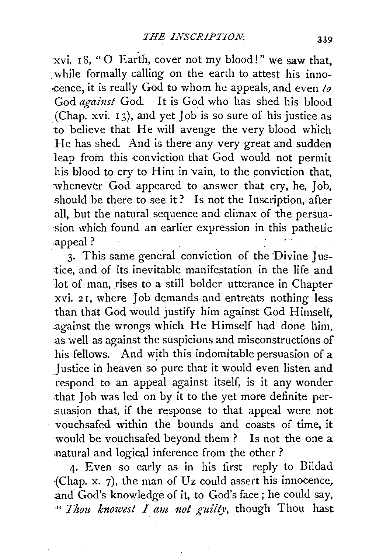xvi. I 8, "0 Earth, cover not my blood!" we saw that, while formally calling on the earth to attest his inno-•cence, it is really God to whom he appeals, and even *to*  God *against* God. It is God who has shed his blood (Chap. xvi. 13), and yet Job is so sure of his justice as to believe that He will avenge the very blood which He has shed. And is there any very great and sudden leap from this conviction that God would not permit his blood to cry to Him in vain, to the conviction that, whenever God appeared to answer that cry, he, Job, should be there to see it? Is not the Inscription, after all, but the natural sequence and climax of the persua'- ·sion which found an earlier expression in this pathetic .appeal?

3. This same general conviction of the Divine Justice, and of its inevitable manifestation in the life and lot of man, rises to a still bolder utterance in Chapter xvi. 2 I, where Job demands and entreats nothing less than that God would justify him against God Himself, .against the wrongs which He Himself had done him, .as well as against the suspicions and misconstructions of his fellows. And with this indomitable persuasion of a Justice in heaven so pure that it would even listen and respond to an appeal against itself, is it any wonder .that Job was led on by it to the yet more definite per suasion that, if the response to that appeal were not vouchsafed within the bounds and coasts of time, it ·would be vouchsafed beyond them ? Is not the one a matural and logical inference from the other ?

4· Even so early as in his first reply to Bildad {Chap. x. 7), the man of Uz could assert his innocence, .and God's knowledge of it, to God's face; he could say, ·" *Thou. knowest I am.. 1zot guilty,* though Thou hast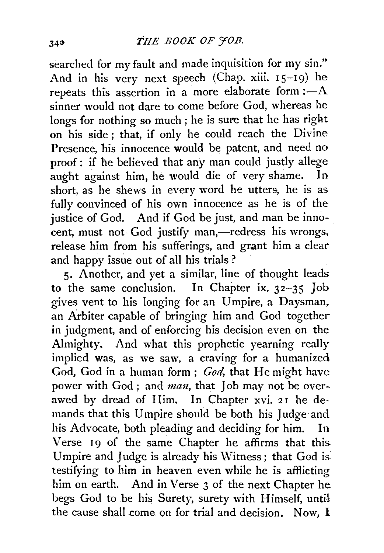searched for my fault and made inquisition for my sin." And in his very next speech (Chap. xiii. 15-19) he repeats this assertion in a more elaborate form  $:-A$ sinner would not dare to come before God, whereas he longs for nothing so much ; he is sure that he has right on his side ; that, if only he could reach the Divine Presence, his innocence would be patent, and need no proof: if he believed that any man could justly allege aught against him, he would die of very shame. In short, as he shews in every word he utters, he is as fully convinced of his own innocence as he is of the justice of God. And if God be just, and man be innocent, must not God justify man,-redress his wrongs, release him from his sufferings, and grant him a clear and happy issue out of all his trials ?

5· Another, and yet a similar, line of thought leads to the same conclusion. In Chapter ix. 32-35 Job gives vent to his longing for an Umpire, a Daysman. an Arbiter capable of bringing him and God together in judgment, and of enforcing his decision even on the Almighty. And what this prophetic yearning really implied was, as we saw, a craving for a humanized God, God in a human form; *God,* that He might have power with God; and *man*, that Job may not be overawed by dread of Him. In Chapter xvi. 21 he demands that this Umpire should be both his Judge and his Advocate, both pleading and deciding for him. In Verse 19 of the same Chapter he affirms that this Umpire and Judge is already his Witness ; that God is testifying to him in heaven even while he is afflicting him on earth. And in Verse 3 of the next Chapter he begs God to be his Surety, surety with Himself, until the cause shall come on for trial and decision. Now,  $\mathbb{I}$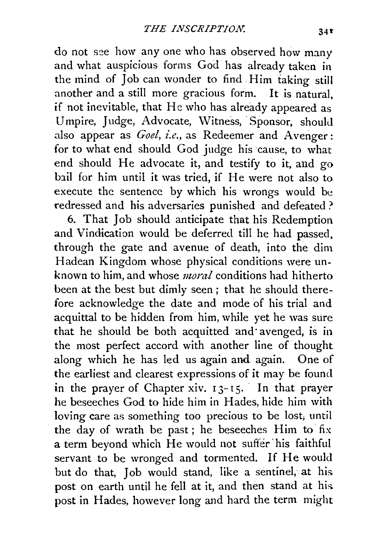do not see how any one who has observed how many and what auspicious forms God has already taken in the mind of Job can wonder to find Him taking still another and a still more gracious form. It is natural, if not inevitable, that He who has already appeared as Umpire, Judge, Advocate, Witness, Sponsor, should also appear as *Goel, i.e.*, as Redeemer and Avenger: for to what end should God judge his cause, to what end should He advocate it, and testify to it, and go bail for him until it was tried, if He were not also to execute the sentence by which his wrongs would be redressed and his adversaries punished and defeated ?

6. That Job should anticipate that his Redemption and Vindication would be deferred till he had passed, through the gate and avenue of death, into the dim Hadean Kingdom whose physical conditions were unknown to him, and whose *moral* conditions had hitherto been at the best but dimly seen; that he should therefore acknowledge the date and mode of his trial and acquittal to be hidden from him, while yet he was sure that he should be both acquitted and avenged, is in the most perfect accord with another line of thought along which he has led us again and again. One of the earliest and clearest expressions of it may be found in the prayer of Chapter xiv.  $13-15$ . In that prayer he beseeches God to hide him in Hades, hide him with loving care as something too precious to be lost; until the day of wrath be past; he beseeches Him to fix a term beyond which He would not suffer· his faithful servant to be wronged and tormented. If He would but do that, Job would stand, like a sentinel, at his post on earth until he fell at it, and then stand at his post in Hades, however long and hard the term might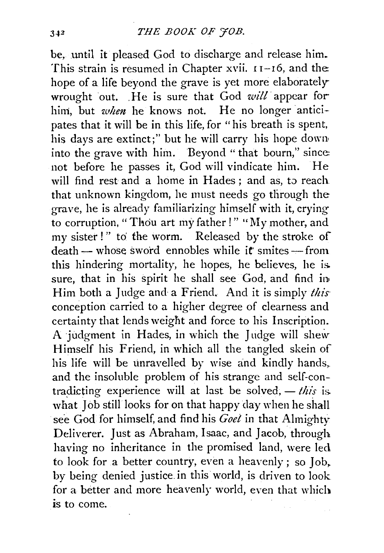be, until it pleased God to discharge and release him. This strain is resumed in Chapter xvii.  $11-16$ , and the: hope of a life beyond the grave is yet more elaboratelywrought out. He is sure that God *will* appear for him, but *when* he knows not. He no longer anticipates that it will be in this life, for "his breath is spent, his days are extinct;" but he will carry his hope dowa into the grave with him. Beyond " that bourn," since: not before he passes it, God will vindicate him. He will find rest and a home in Hades ; and as, to reach. that unknown kingdom, he must needs go through the grave, he is already familiarizing himself with it, crying to corruption, "Thou art my father!" "My mother, and my sister!" to' the worm. Released by the stroke of death — whose sword ennobles while it smites — from this hindering mortality, he hopes, he believes, he is. sure, that in his spirit he shall see God, and find in• Him both a Judge and a Friend. And it is simply *this·*  conception carried to a higher degree of clearness and certainty that lends weight and force to his Inscription. A judgment in Hades, in which the Judge will shew Himself his Friend, in which all the tangled skein of his life will be unravelled by wise and kindly hands, and the insoluble problem of his strange and self-contradicting experience will at last be solved,  $-$  *this* is. what Job still looks for on that happy day when he shall see God for himself, and find his *Goel* in that Almighty Deliverer. Just as Abraham, Isaac, and Jacob, through having no inheritance in the promised land, were led to look for a better country, even a heavenly ; so Job, by being denied justice in this world, is driven to look for a better and more heavenly world, even that which is to come.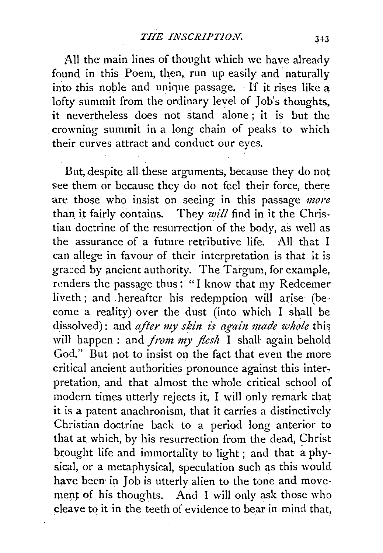All the main lines of thought which we have already found in this Poem, then, run up easily and naturally into this noble and unique passage. · lf it rises like a lofty summit from the ordinary level of Job's thoughts, it nevertheless does not stand alone ; it is but the crowning summit in a long chain of peaks to which their curves attract and conduct our eyes.

But, despite all these arguments, because they do not see them or because they do not feel their force, there are those who insist on seeing in this passage *more*  than it fairly contains. They *will* find in it the Christian doctrine of the resurrection of the body, as well as the assurance of a future retributive life. All that I can allege in favour of their interpretation is that it is graced by ancient authority. The Targum, for example, renders the passage thus: "I know that my Redeemer liveth; and hereafter his redemption will arise (become a reality) over the dust (into which I shall be dissolved): and *after my skin is again made whole* this will happen : and *from my flesh* I shall again behold God." But not to insist on the fact that even the more critical ancient authorities pronounce against this inter, pretation, and that almost the whole critical school of modern times utterly rejects it, I will only remark that it is a patent anachronism, that it carries a distinctively Christian doctrine back to a period long anterior to that at which, by his resurrection from the dead, Christ brought life and immortality to light ; and that a physical, or a metaphysical, speculation such as this would have been in Job is utterly alien to the tone and movement of his thoughts. And I will only ask those who cleave to it in the teeth of evidence to bear in mind that,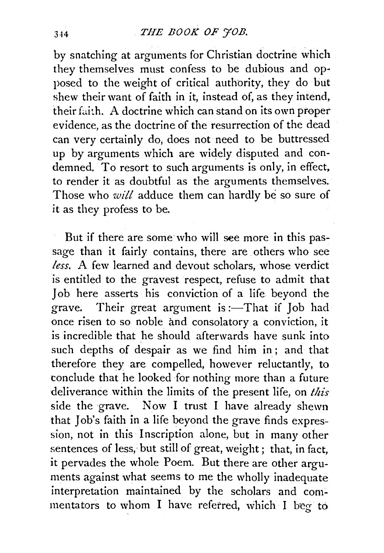by snatching at arguments for Christian doctrine which they themselves must confess to be dubious and opposed to the weight of critical authority, they do but shew their want of faith in it, instead of, as they intend, their faith. A doctrine which can stand on its own proper evidence, as the doctrine of the resurrection of the dead can very certainly do; does not need to be buttressed up by arguments which are widely disputed and condemned. To resort to such arguments is only, in effect, to render it as doubtful as the arguments themselves. Those who *will* adduce them can hardly be so sure of it as they profess to be.

But if there are some who will see more in this passage than it fairly contains, there are others who see *less.* A few learned and devout scholars, whose verdict is entitled to the gravest respect, refuse to admit that Job here asserts his conviction of a life beyond the grave. Their great argument is :- That if  $\int$ ob had once risen to so noble and consolatory a conviction, it is incredible that he should afterwards have sunk into such depths of despair as we find him in; and that therefore they are compelled, however reluctantly, to conclude that he looked for nothing more than a future deliverance within the limits of the present life, on *this*  side the grave. Now I trust I have already shewn that Job's faith in a life beyond the grave finds expression, not in this Inscription alone, but in many other sentences of less, but still of great, weight ; that, in fact, it pervades the whole Poem. But there are other arguments against what seems to me the wholly inadequate interpretation maintained by the scholars and commentators to whom I have referred, which I beg to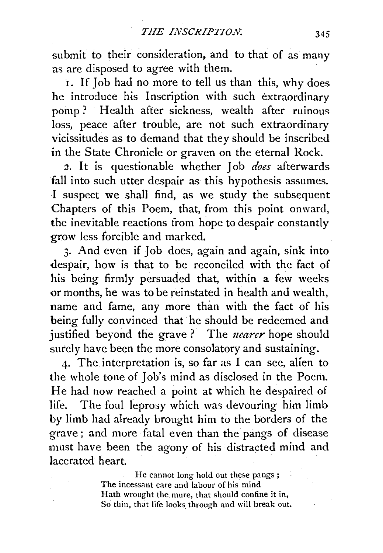submit to their consideration, and to that of as many as are disposed to agree with them.

1. If Job had no more to tell us than this, why does he introduce his Inscription with such extraordinary pomp? Health after sickness, wealth after ruinous loss, peace after trouble, are not such extraordinary vicissitudes as to demand that they should be inscribed in the State Chronicle or graven on the eternal Rock.

*2.* It is questionable whether Job *does* afterwards fall into such utter despair as this hypothesis assumes. I suspect we shall find, as we study the subsequent Chapters of this Poem, that, from this point onward, the inevitable reactions from hope to despair constantly grow less forcible and marked.

3· And even if Job does, again and again, sink into despair, how is that to be reconciled with the fact of his being firmly persuaded that, within a few weeks or months, he was to be reinstated in health and wealth, name and fame, any more than with the fact of his being fully convinced that he should be redeemed and justified beyond the grave ? The *uearer* hope should surely have been the more consolatory and sustaining.

4· The. interpretation is, so far as I can see, alien to the whole tone of Job's mind as disclosed in the Poem. He had now reached a point at which he despaired of life. The foul leprosy which was devouring him limb by limb had already brought him to the borders of the grave; and more fatal even than the pangs of disease must have been the agony of his distracted mind and lacerated heart.

> He cannot long hold out these pangs ; The incessant care and labour of his mind Hath wrought the mure, that should confine it in, So thin, that life looks through and will break out.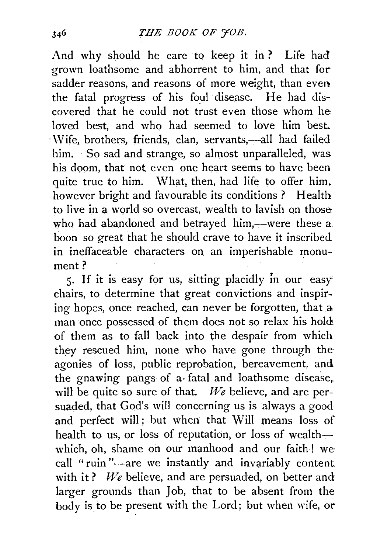And why should he care to keep it in? Life had grown loathsome and abhorrent to him, and that for sadder reasons, and reasons of more weight, than even the fatal progress of his foul disease. He had discovered that he could not trust even those whom he loved best, and who had seemed to love him best. · \Vife, brothers, friends, clan, servants,-all had failed him. So sad and strange, so almost unparalleled, was. his doom, that not even one heart seems to have been quite true to him. What, then, had life to offer him. however bright and favourable its conditions ? Health to live in a world so overcast, wealth to lavish on those who had abandoned and betrayed him,—were these  $a$ . boon so great that he should crave to have it inscribed in ineffaceable characters on. an imperishable monument?

5. If it is easy for us, sitting placidly in our easy chairs, to determine that great convictions and inspir~ ing hopes, once reached, can never be forgotten, that a man once possessed of them does not so relax his hold of them as to fall back into the despair from which they rescued him, none who have gone through the· agonies of loss, public reprobation, bereavement, and the gnawing pangs of a fatal and loathsome disease, will be quite so sure of that. *We* believe, and are persuaded, that God's will concerning us is always a good and perfect will ; but when that Will means loss of health to us, or loss of reputation, or loss of wealthwhich, oh, shame on our manhood and our faith! we call "ruin"-are we instantly and invariably content. with it? We believe, and are persuaded, on better and larger grounds than Job, that to be absent from the body is to be present with the Lord; but when wife, or